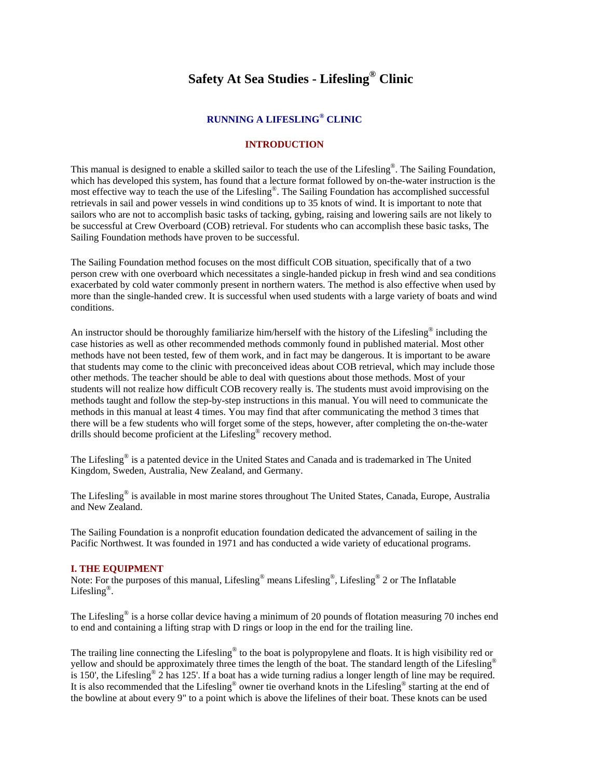# **Safety At Sea Studies - Lifesling® Clinic**

## **RUNNING A LIFESLING® CLINIC**

# **INTRODUCTION**

This manual is designed to enable a skilled sailor to teach the use of the Lifesling®. The Sailing Foundation, which has developed this system, has found that a lecture format followed by on-the-water instruction is the most effective way to teach the use of the Lifesling®. The Sailing Foundation has accomplished successful retrievals in sail and power vessels in wind conditions up to 35 knots of wind. It is important to note that sailors who are not to accomplish basic tasks of tacking, gybing, raising and lowering sails are not likely to be successful at Crew Overboard (COB) retrieval. For students who can accomplish these basic tasks, The Sailing Foundation methods have proven to be successful.

The Sailing Foundation method focuses on the most difficult COB situation, specifically that of a two person crew with one overboard which necessitates a single-handed pickup in fresh wind and sea conditions exacerbated by cold water commonly present in northern waters. The method is also effective when used by more than the single-handed crew. It is successful when used students with a large variety of boats and wind conditions.

An instructor should be thoroughly familiarize him/herself with the history of the Lifesling<sup>®</sup> including the case histories as well as other recommended methods commonly found in published material. Most other methods have not been tested, few of them work, and in fact may be dangerous. It is important to be aware that students may come to the clinic with preconceived ideas about COB retrieval, which may include those other methods. The teacher should be able to deal with questions about those methods. Most of your students will not realize how difficult COB recovery really is. The students must avoid improvising on the methods taught and follow the step-by-step instructions in this manual. You will need to communicate the methods in this manual at least 4 times. You may find that after communicating the method 3 times that there will be a few students who will forget some of the steps, however, after completing the on-the-water drills should become proficient at the Lifesling® recovery method.

The Lifesling® is a patented device in the United States and Canada and is trademarked in The United Kingdom, Sweden, Australia, New Zealand, and Germany.

The Lifesling® is available in most marine stores throughout The United States, Canada, Europe, Australia and New Zealand.

The Sailing Foundation is a nonprofit education foundation dedicated the advancement of sailing in the Pacific Northwest. It was founded in 1971 and has conducted a wide variety of educational programs.

#### **I. THE EQUIPMENT**

Note: For the purposes of this manual, Lifesling® means Lifesling®, Lifesling® 2 or The Inflatable Lifesling<sup>®</sup>.

The Lifesling® is a horse collar device having a minimum of 20 pounds of flotation measuring 70 inches end to end and containing a lifting strap with D rings or loop in the end for the trailing line.

The trailing line connecting the Lifesling<sup>®</sup> to the boat is polypropylene and floats. It is high visibility red or yellow and should be approximately three times the length of the boat. The standard length of the Lifesling® is 150', the Lifesling® 2 has 125'. If a boat has a wide turning radius a longer length of line may be required. It is also recommended that the Lifesling® owner tie overhand knots in the Lifesling® starting at the end of the bowline at about every 9" to a point which is above the lifelines of their boat. These knots can be used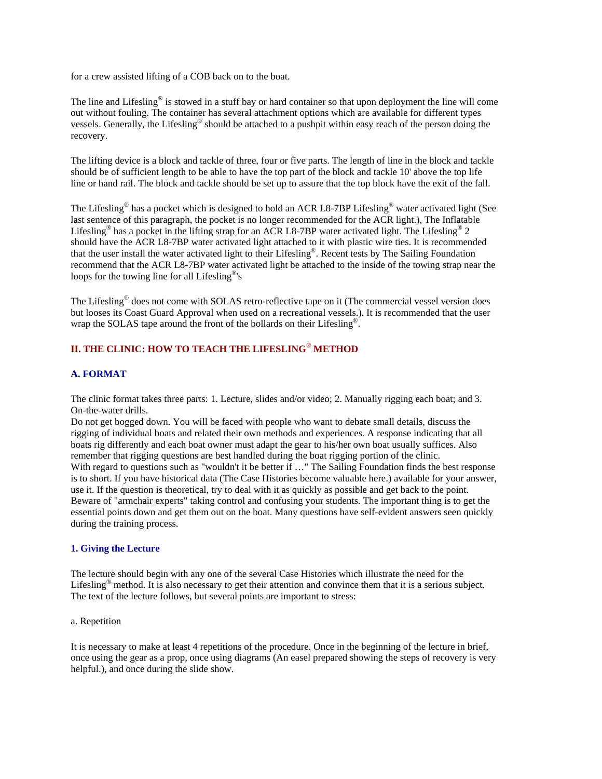for a crew assisted lifting of a COB back on to the boat.

The line and Lifesling<sup>®</sup> is stowed in a stuff bay or hard container so that upon deployment the line will come out without fouling. The container has several attachment options which are available for different types vessels. Generally, the Lifesling® should be attached to a pushpit within easy reach of the person doing the recovery.

The lifting device is a block and tackle of three, four or five parts. The length of line in the block and tackle should be of sufficient length to be able to have the top part of the block and tackle 10' above the top life line or hand rail. The block and tackle should be set up to assure that the top block have the exit of the fall.

The Lifesling® has a pocket which is designed to hold an ACR L8-7BP Lifesling® water activated light (See last sentence of this paragraph, the pocket is no longer recommended for the ACR light.), The Inflatable Lifesling<sup>®</sup> has a pocket in the lifting strap for an ACR L8-7BP water activated light. The Lifesling<sup>®</sup> 2 should have the ACR L8-7BP water activated light attached to it with plastic wire ties. It is recommended that the user install the water activated light to their Lifesling®. Recent tests by The Sailing Foundation recommend that the ACR L8-7BP water activated light be attached to the inside of the towing strap near the loops for the towing line for all Lifesling®'s

The Lifesling® does not come with SOLAS retro-reflective tape on it (The commercial vessel version does but looses its Coast Guard Approval when used on a recreational vessels.). It is recommended that the user wrap the SOLAS tape around the front of the bollards on their Lifesling<sup>®</sup>.

# **II. THE CLINIC: HOW TO TEACH THE LIFESLING® METHOD**

## **A. FORMAT**

The clinic format takes three parts: 1. Lecture, slides and/or video; 2. Manually rigging each boat; and 3. On-the-water drills.

Do not get bogged down. You will be faced with people who want to debate small details, discuss the rigging of individual boats and related their own methods and experiences. A response indicating that all boats rig differently and each boat owner must adapt the gear to his/her own boat usually suffices. Also remember that rigging questions are best handled during the boat rigging portion of the clinic. With regard to questions such as "wouldn't it be better if ..." The Sailing Foundation finds the best response is to short. If you have historical data (The Case Histories become valuable here.) available for your answer, use it. If the question is theoretical, try to deal with it as quickly as possible and get back to the point. Beware of "armchair experts" taking control and confusing your students. The important thing is to get the essential points down and get them out on the boat. Many questions have self-evident answers seen quickly during the training process.

#### **1. Giving the Lecture**

The lecture should begin with any one of the several Case Histories which illustrate the need for the Lifesling<sup>®</sup> method. It is also necessary to get their attention and convince them that it is a serious subject. The text of the lecture follows, but several points are important to stress:

## a. Repetition

It is necessary to make at least 4 repetitions of the procedure. Once in the beginning of the lecture in brief, once using the gear as a prop, once using diagrams (An easel prepared showing the steps of recovery is very helpful.), and once during the slide show.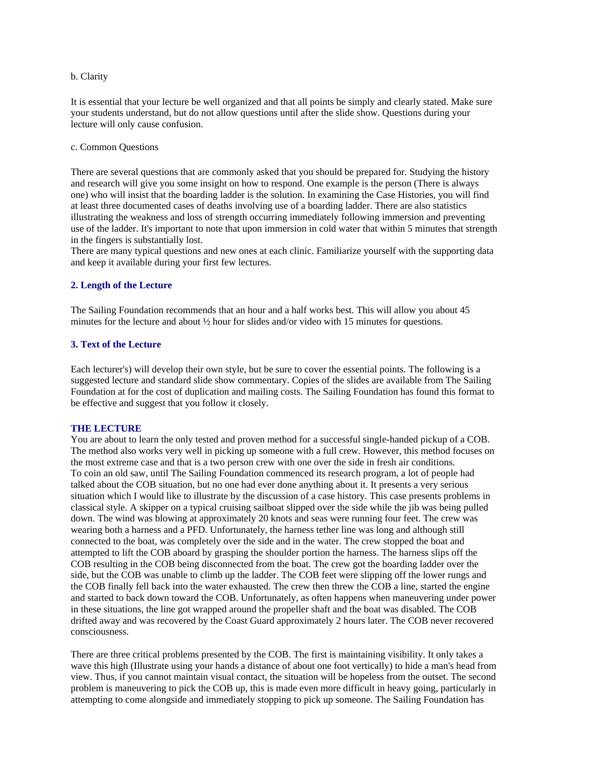#### b. Clarity

It is essential that your lecture be well organized and that all points be simply and clearly stated. Make sure your students understand, but do not allow questions until after the slide show. Questions during your lecture will only cause confusion.

c. Common Questions

There are several questions that are commonly asked that you should be prepared for. Studying the history and research will give you some insight on how to respond. One example is the person (There is always one) who will insist that the boarding ladder is the solution. In examining the Case Histories, you will find at least three documented cases of deaths involving use of a boarding ladder. There are also statistics illustrating the weakness and loss of strength occurring immediately following immersion and preventing use of the ladder. It's important to note that upon immersion in cold water that within 5 minutes that strength in the fingers is substantially lost.

There are many typical questions and new ones at each clinic. Familiarize yourself with the supporting data and keep it available during your first few lectures.

## **2. Length of the Lecture**

The Sailing Foundation recommends that an hour and a half works best. This will allow you about 45 minutes for the lecture and about ½ hour for slides and/or video with 15 minutes for questions.

#### **3. Text of the Lecture**

Each lecturer's) will develop their own style, but be sure to cover the essential points. The following is a suggested lecture and standard slide show commentary. Copies of the slides are available from The Sailing Foundation at for the cost of duplication and mailing costs. The Sailing Foundation has found this format to be effective and suggest that you follow it closely.

#### **THE LECTURE**

You are about to learn the only tested and proven method for a successful single-handed pickup of a COB. The method also works very well in picking up someone with a full crew. However, this method focuses on the most extreme case and that is a two person crew with one over the side in fresh air conditions. To coin an old saw, until The Sailing Foundation commenced its research program, a lot of people had talked about the COB situation, but no one had ever done anything about it. It presents a very serious situation which I would like to illustrate by the discussion of a case history. This case presents problems in classical style. A skipper on a typical cruising sailboat slipped over the side while the jib was being pulled down. The wind was blowing at approximately 20 knots and seas were running four feet. The crew was wearing both a harness and a PFD. Unfortunately, the harness tether line was long and although still connected to the boat, was completely over the side and in the water. The crew stopped the boat and attempted to lift the COB aboard by grasping the shoulder portion the harness. The harness slips off the COB resulting in the COB being disconnected from the boat. The crew got the boarding ladder over the side, but the COB was unable to climb up the ladder. The COB feet were slipping off the lower rungs and the COB finally fell back into the water exhausted. The crew then threw the COB a line, started the engine and started to back down toward the COB. Unfortunately, as often happens when maneuvering under power in these situations, the line got wrapped around the propeller shaft and the boat was disabled. The COB drifted away and was recovered by the Coast Guard approximately 2 hours later. The COB never recovered consciousness.

There are three critical problems presented by the COB. The first is maintaining visibility. It only takes a wave this high (Illustrate using your hands a distance of about one foot vertically) to hide a man's head from view. Thus, if you cannot maintain visual contact, the situation will be hopeless from the outset. The second problem is maneuvering to pick the COB up, this is made even more difficult in heavy going, particularly in attempting to come alongside and immediately stopping to pick up someone. The Sailing Foundation has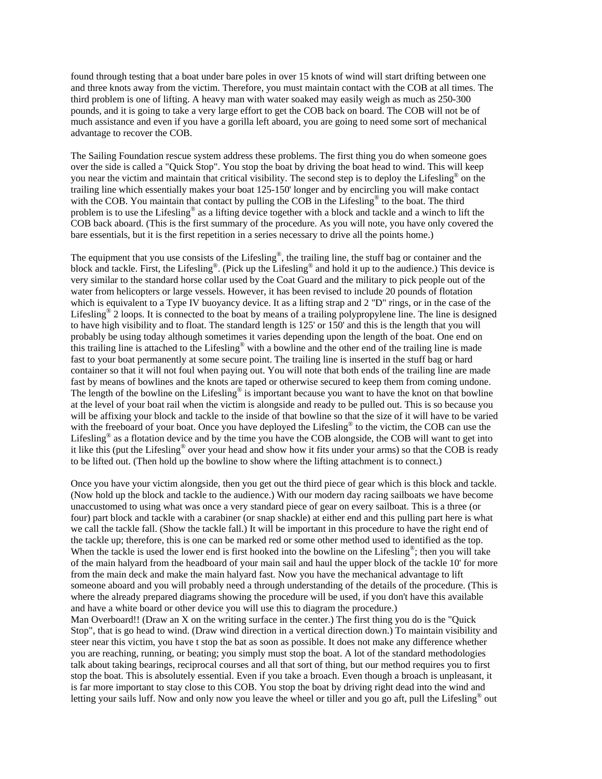found through testing that a boat under bare poles in over 15 knots of wind will start drifting between one and three knots away from the victim. Therefore, you must maintain contact with the COB at all times. The third problem is one of lifting. A heavy man with water soaked may easily weigh as much as 250-300 pounds, and it is going to take a very large effort to get the COB back on board. The COB will not be of much assistance and even if you have a gorilla left aboard, you are going to need some sort of mechanical advantage to recover the COB.

The Sailing Foundation rescue system address these problems. The first thing you do when someone goes over the side is called a "Quick Stop". You stop the boat by driving the boat head to wind. This will keep you near the victim and maintain that critical visibility. The second step is to deploy the Lifesling® on the trailing line which essentially makes your boat 125-150' longer and by encircling you will make contact with the COB. You maintain that contact by pulling the COB in the Lifesling<sup>®</sup> to the boat. The third problem is to use the Lifesling® as a lifting device together with a block and tackle and a winch to lift the COB back aboard. (This is the first summary of the procedure. As you will note, you have only covered the bare essentials, but it is the first repetition in a series necessary to drive all the points home.)

The equipment that you use consists of the Lifesling®, the trailing line, the stuff bag or container and the block and tackle. First, the Lifesling®. (Pick up the Lifesling® and hold it up to the audience.) This device is very similar to the standard horse collar used by the Coat Guard and the military to pick people out of the water from helicopters or large vessels. However, it has been revised to include 20 pounds of flotation which is equivalent to a Type IV buoyancy device. It as a lifting strap and 2 "D" rings, or in the case of the Lifesling® 2 loops. It is connected to the boat by means of a trailing polypropylene line. The line is designed to have high visibility and to float. The standard length is 125' or 150' and this is the length that you will probably be using today although sometimes it varies depending upon the length of the boat. One end on this trailing line is attached to the Lifesling® with a bowline and the other end of the trailing line is made fast to your boat permanently at some secure point. The trailing line is inserted in the stuff bag or hard container so that it will not foul when paying out. You will note that both ends of the trailing line are made fast by means of bowlines and the knots are taped or otherwise secured to keep them from coming undone. The length of the bowline on the Lifesling<sup>®</sup> is important because you want to have the knot on that bowline at the level of your boat rail when the victim is alongside and ready to be pulled out. This is so because you will be affixing your block and tackle to the inside of that bowline so that the size of it will have to be varied with the freeboard of your boat. Once you have deployed the Lifesling<sup>®</sup> to the victim, the COB can use the Lifesling<sup>®</sup> as a flotation device and by the time you have the COB alongside, the COB will want to get into it like this (put the Lifesling® over your head and show how it fits under your arms) so that the COB is ready to be lifted out. (Then hold up the bowline to show where the lifting attachment is to connect.)

Once you have your victim alongside, then you get out the third piece of gear which is this block and tackle. (Now hold up the block and tackle to the audience.) With our modern day racing sailboats we have become unaccustomed to using what was once a very standard piece of gear on every sailboat. This is a three (or four) part block and tackle with a carabiner (or snap shackle) at either end and this pulling part here is what we call the tackle fall. (Show the tackle fall.) It will be important in this procedure to have the right end of the tackle up; therefore, this is one can be marked red or some other method used to identified as the top. When the tackle is used the lower end is first hooked into the bowline on the Lifesling®; then you will take of the main halyard from the headboard of your main sail and haul the upper block of the tackle 10' for more from the main deck and make the main halyard fast. Now you have the mechanical advantage to lift someone aboard and you will probably need a through understanding of the details of the procedure. (This is where the already prepared diagrams showing the procedure will be used, if you don't have this available and have a white board or other device you will use this to diagram the procedure.)

Man Overboard!! (Draw an X on the writing surface in the center.) The first thing you do is the "Quick Stop", that is go head to wind. (Draw wind direction in a vertical direction down.) To maintain visibility and steer near this victim, you have t stop the bat as soon as possible. It does not make any difference whether you are reaching, running, or beating; you simply must stop the boat. A lot of the standard methodologies talk about taking bearings, reciprocal courses and all that sort of thing, but our method requires you to first stop the boat. This is absolutely essential. Even if you take a broach. Even though a broach is unpleasant, it is far more important to stay close to this COB. You stop the boat by driving right dead into the wind and letting your sails luff. Now and only now you leave the wheel or tiller and you go aft, pull the Lifesling® out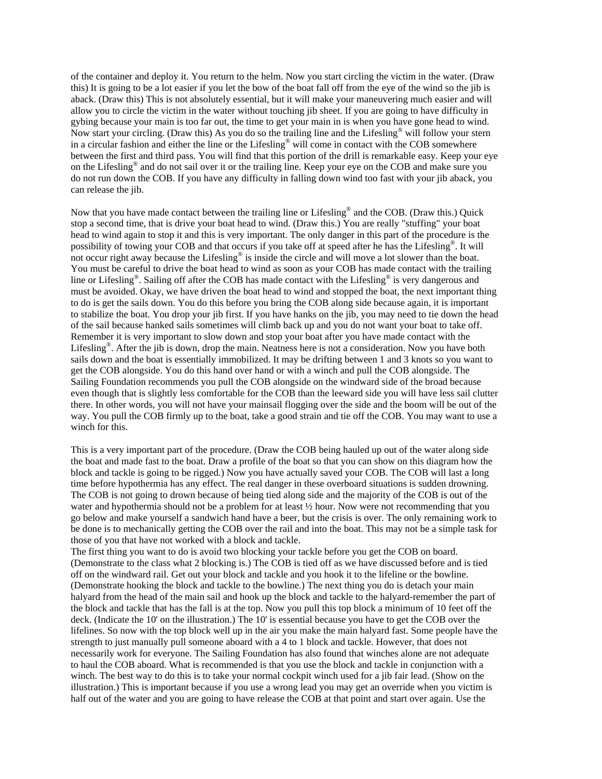of the container and deploy it. You return to the helm. Now you start circling the victim in the water. (Draw this) It is going to be a lot easier if you let the bow of the boat fall off from the eye of the wind so the jib is aback. (Draw this) This is not absolutely essential, but it will make your maneuvering much easier and will allow you to circle the victim in the water without touching jib sheet. If you are going to have difficulty in gybing because your main is too far out, the time to get your main in is when you have gone head to wind. Now start your circling. (Draw this) As you do so the trailing line and the Lifesling® will follow your stern in a circular fashion and either the line or the Lifesling® will come in contact with the COB somewhere between the first and third pass. You will find that this portion of the drill is remarkable easy. Keep your eye on the Lifesling® and do not sail over it or the trailing line. Keep your eye on the COB and make sure you do not run down the COB. If you have any difficulty in falling down wind too fast with your jib aback, you can release the jib.

Now that you have made contact between the trailing line or Lifesling® and the COB. (Draw this.) Quick stop a second time, that is drive your boat head to wind. (Draw this.) You are really "stuffing" your boat head to wind again to stop it and this is very important. The only danger in this part of the procedure is the possibility of towing your COB and that occurs if you take off at speed after he has the Lifesling®. It will not occur right away because the Lifesling<sup>®</sup> is inside the circle and will move a lot slower than the boat. You must be careful to drive the boat head to wind as soon as your COB has made contact with the trailing line or Lifesling®. Sailing off after the COB has made contact with the Lifesling® is very dangerous and must be avoided. Okay, we have driven the boat head to wind and stopped the boat, the next important thing to do is get the sails down. You do this before you bring the COB along side because again, it is important to stabilize the boat. You drop your jib first. If you have hanks on the jib, you may need to tie down the head of the sail because hanked sails sometimes will climb back up and you do not want your boat to take off. Remember it is very important to slow down and stop your boat after you have made contact with the Lifesling<sup>®</sup>. After the jib is down, drop the main. Neatness here is not a consideration. Now you have both sails down and the boat is essentially immobilized. It may be drifting between 1 and 3 knots so you want to get the COB alongside. You do this hand over hand or with a winch and pull the COB alongside. The Sailing Foundation recommends you pull the COB alongside on the windward side of the broad because even though that is slightly less comfortable for the COB than the leeward side you will have less sail clutter there. In other words, you will not have your mainsail flogging over the side and the boom will be out of the way. You pull the COB firmly up to the boat, take a good strain and tie off the COB. You may want to use a winch for this.

This is a very important part of the procedure. (Draw the COB being hauled up out of the water along side the boat and made fast to the boat. Draw a profile of the boat so that you can show on this diagram how the block and tackle is going to be rigged.) Now you have actually saved your COB. The COB will last a long time before hypothermia has any effect. The real danger in these overboard situations is sudden drowning. The COB is not going to drown because of being tied along side and the majority of the COB is out of the water and hypothermia should not be a problem for at least  $\frac{1}{2}$  hour. Now were not recommending that you go below and make yourself a sandwich hand have a beer, but the crisis is over. The only remaining work to be done is to mechanically getting the COB over the rail and into the boat. This may not be a simple task for those of you that have not worked with a block and tackle.

The first thing you want to do is avoid two blocking your tackle before you get the COB on board. (Demonstrate to the class what 2 blocking is.) The COB is tied off as we have discussed before and is tied off on the windward rail. Get out your block and tackle and you hook it to the lifeline or the bowline. (Demonstrate hooking the block and tackle to the bowline.) The next thing you do is detach your main halyard from the head of the main sail and hook up the block and tackle to the halyard-remember the part of the block and tackle that has the fall is at the top. Now you pull this top block a minimum of 10 feet off the deck. (Indicate the 10' on the illustration.) The 10' is essential because you have to get the COB over the lifelines. So now with the top block well up in the air you make the main halyard fast. Some people have the strength to just manually pull someone aboard with a 4 to 1 block and tackle. However, that does not necessarily work for everyone. The Sailing Foundation has also found that winches alone are not adequate to haul the COB aboard. What is recommended is that you use the block and tackle in conjunction with a winch. The best way to do this is to take your normal cockpit winch used for a jib fair lead. (Show on the illustration.) This is important because if you use a wrong lead you may get an override when you victim is half out of the water and you are going to have release the COB at that point and start over again. Use the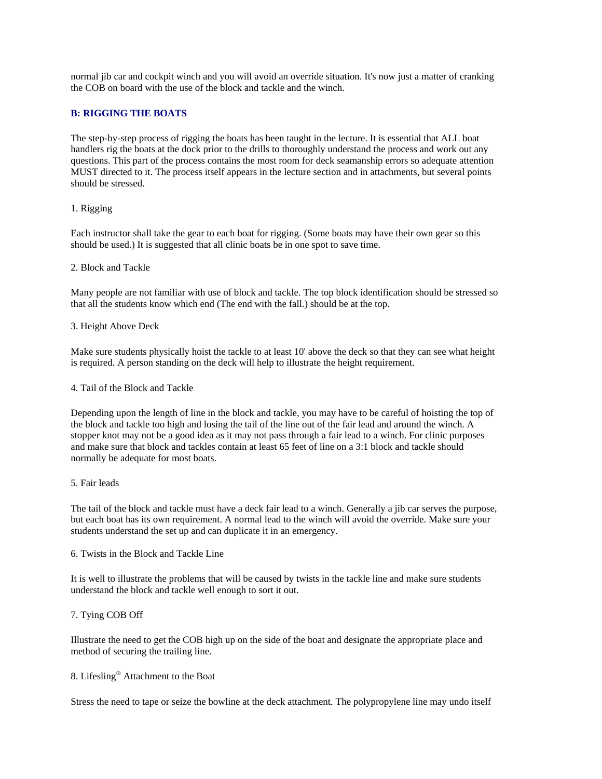normal jib car and cockpit winch and you will avoid an override situation. It's now just a matter of cranking the COB on board with the use of the block and tackle and the winch.

## **B: RIGGING THE BOATS**

The step-by-step process of rigging the boats has been taught in the lecture. It is essential that ALL boat handlers rig the boats at the dock prior to the drills to thoroughly understand the process and work out any questions. This part of the process contains the most room for deck seamanship errors so adequate attention MUST directed to it. The process itself appears in the lecture section and in attachments, but several points should be stressed.

#### 1. Rigging

Each instructor shall take the gear to each boat for rigging. (Some boats may have their own gear so this should be used.) It is suggested that all clinic boats be in one spot to save time.

#### 2. Block and Tackle

Many people are not familiar with use of block and tackle. The top block identification should be stressed so that all the students know which end (The end with the fall.) should be at the top.

#### 3. Height Above Deck

Make sure students physically hoist the tackle to at least 10' above the deck so that they can see what height is required. A person standing on the deck will help to illustrate the height requirement.

#### 4. Tail of the Block and Tackle

Depending upon the length of line in the block and tackle, you may have to be careful of hoisting the top of the block and tackle too high and losing the tail of the line out of the fair lead and around the winch. A stopper knot may not be a good idea as it may not pass through a fair lead to a winch. For clinic purposes and make sure that block and tackles contain at least 65 feet of line on a 3:1 block and tackle should normally be adequate for most boats.

#### 5. Fair leads

The tail of the block and tackle must have a deck fair lead to a winch. Generally a jib car serves the purpose, but each boat has its own requirement. A normal lead to the winch will avoid the override. Make sure your students understand the set up and can duplicate it in an emergency.

6. Twists in the Block and Tackle Line

It is well to illustrate the problems that will be caused by twists in the tackle line and make sure students understand the block and tackle well enough to sort it out.

#### 7. Tying COB Off

Illustrate the need to get the COB high up on the side of the boat and designate the appropriate place and method of securing the trailing line.

# 8. Lifesling® Attachment to the Boat

Stress the need to tape or seize the bowline at the deck attachment. The polypropylene line may undo itself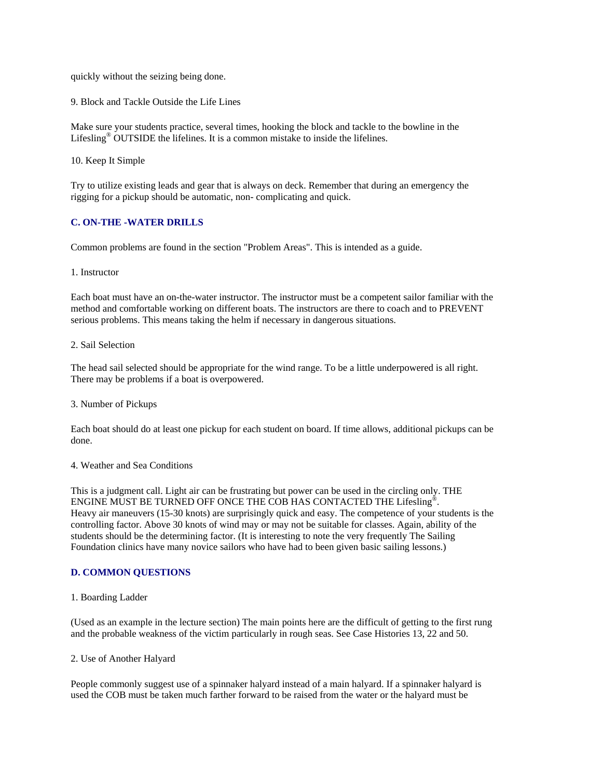quickly without the seizing being done.

9. Block and Tackle Outside the Life Lines

Make sure your students practice, several times, hooking the block and tackle to the bowline in the Lifesling® OUTSIDE the lifelines. It is a common mistake to inside the lifelines.

10. Keep It Simple

Try to utilize existing leads and gear that is always on deck. Remember that during an emergency the rigging for a pickup should be automatic, non- complicating and quick.

## **C. ON-THE -WATER DRILLS**

Common problems are found in the section "Problem Areas". This is intended as a guide.

#### 1. Instructor

Each boat must have an on-the-water instructor. The instructor must be a competent sailor familiar with the method and comfortable working on different boats. The instructors are there to coach and to PREVENT serious problems. This means taking the helm if necessary in dangerous situations.

#### 2. Sail Selection

The head sail selected should be appropriate for the wind range. To be a little underpowered is all right. There may be problems if a boat is overpowered.

#### 3. Number of Pickups

Each boat should do at least one pickup for each student on board. If time allows, additional pickups can be done.

## 4. Weather and Sea Conditions

This is a judgment call. Light air can be frustrating but power can be used in the circling only. THE ENGINE MUST BE TURNED OFF ONCE THE COB HAS CONTACTED THE Lifesling®. Heavy air maneuvers (15-30 knots) are surprisingly quick and easy. The competence of your students is the controlling factor. Above 30 knots of wind may or may not be suitable for classes. Again, ability of the students should be the determining factor. (It is interesting to note the very frequently The Sailing Foundation clinics have many novice sailors who have had to been given basic sailing lessons.)

#### **D. COMMON QUESTIONS**

1. Boarding Ladder

(Used as an example in the lecture section) The main points here are the difficult of getting to the first rung and the probable weakness of the victim particularly in rough seas. See Case Histories 13, 22 and 50.

#### 2. Use of Another Halyard

People commonly suggest use of a spinnaker halyard instead of a main halyard. If a spinnaker halyard is used the COB must be taken much farther forward to be raised from the water or the halyard must be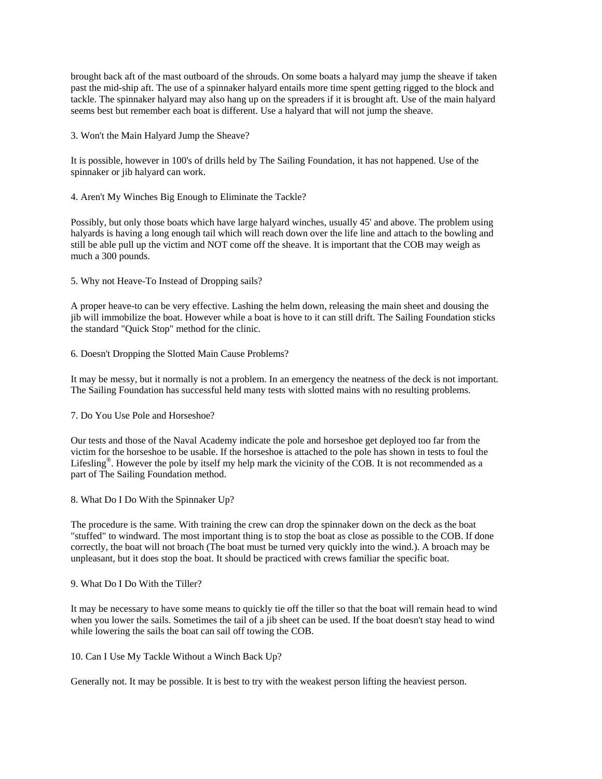brought back aft of the mast outboard of the shrouds. On some boats a halyard may jump the sheave if taken past the mid-ship aft. The use of a spinnaker halyard entails more time spent getting rigged to the block and tackle. The spinnaker halyard may also hang up on the spreaders if it is brought aft. Use of the main halyard seems best but remember each boat is different. Use a halyard that will not jump the sheave.

3. Won't the Main Halyard Jump the Sheave?

It is possible, however in 100's of drills held by The Sailing Foundation, it has not happened. Use of the spinnaker or jib halyard can work.

4. Aren't My Winches Big Enough to Eliminate the Tackle?

Possibly, but only those boats which have large halyard winches, usually 45' and above. The problem using halyards is having a long enough tail which will reach down over the life line and attach to the bowling and still be able pull up the victim and NOT come off the sheave. It is important that the COB may weigh as much a 300 pounds.

5. Why not Heave-To Instead of Dropping sails?

A proper heave-to can be very effective. Lashing the helm down, releasing the main sheet and dousing the jib will immobilize the boat. However while a boat is hove to it can still drift. The Sailing Foundation sticks the standard "Quick Stop" method for the clinic.

6. Doesn't Dropping the Slotted Main Cause Problems?

It may be messy, but it normally is not a problem. In an emergency the neatness of the deck is not important. The Sailing Foundation has successful held many tests with slotted mains with no resulting problems.

7. Do You Use Pole and Horseshoe?

Our tests and those of the Naval Academy indicate the pole and horseshoe get deployed too far from the victim for the horseshoe to be usable. If the horseshoe is attached to the pole has shown in tests to foul the Lifesling<sup>®</sup>. However the pole by itself my help mark the vicinity of the COB. It is not recommended as a part of The Sailing Foundation method.

8. What Do I Do With the Spinnaker Up?

The procedure is the same. With training the crew can drop the spinnaker down on the deck as the boat "stuffed" to windward. The most important thing is to stop the boat as close as possible to the COB. If done correctly, the boat will not broach (The boat must be turned very quickly into the wind.). A broach may be unpleasant, but it does stop the boat. It should be practiced with crews familiar the specific boat.

#### 9. What Do I Do With the Tiller?

It may be necessary to have some means to quickly tie off the tiller so that the boat will remain head to wind when you lower the sails. Sometimes the tail of a jib sheet can be used. If the boat doesn't stay head to wind while lowering the sails the boat can sail off towing the COB.

10. Can I Use My Tackle Without a Winch Back Up?

Generally not. It may be possible. It is best to try with the weakest person lifting the heaviest person.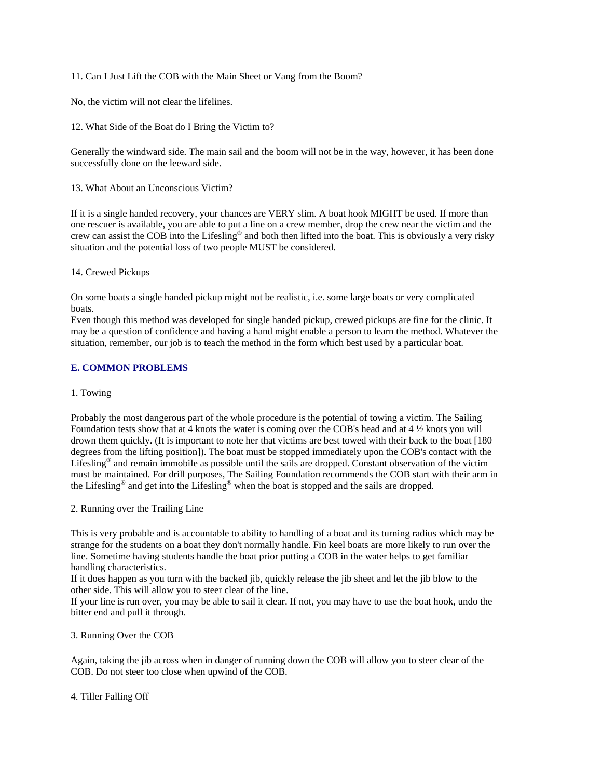11. Can I Just Lift the COB with the Main Sheet or Vang from the Boom?

No, the victim will not clear the lifelines.

12. What Side of the Boat do I Bring the Victim to?

Generally the windward side. The main sail and the boom will not be in the way, however, it has been done successfully done on the leeward side.

13. What About an Unconscious Victim?

If it is a single handed recovery, your chances are VERY slim. A boat hook MIGHT be used. If more than one rescuer is available, you are able to put a line on a crew member, drop the crew near the victim and the crew can assist the COB into the Lifesling® and both then lifted into the boat. This is obviously a very risky situation and the potential loss of two people MUST be considered.

14. Crewed Pickups

On some boats a single handed pickup might not be realistic, i.e. some large boats or very complicated boats.

Even though this method was developed for single handed pickup, crewed pickups are fine for the clinic. It may be a question of confidence and having a hand might enable a person to learn the method. Whatever the situation, remember, our job is to teach the method in the form which best used by a particular boat.

## **E. COMMON PROBLEMS**

#### 1. Towing

Probably the most dangerous part of the whole procedure is the potential of towing a victim. The Sailing Foundation tests show that at 4 knots the water is coming over the COB's head and at 4 ½ knots you will drown them quickly. (It is important to note her that victims are best towed with their back to the boat [180 degrees from the lifting position]). The boat must be stopped immediately upon the COB's contact with the Lifesling<sup>®</sup> and remain immobile as possible until the sails are dropped. Constant observation of the victim must be maintained. For drill purposes, The Sailing Foundation recommends the COB start with their arm in the Lifesling® and get into the Lifesling® when the boat is stopped and the sails are dropped.

2. Running over the Trailing Line

This is very probable and is accountable to ability to handling of a boat and its turning radius which may be strange for the students on a boat they don't normally handle. Fin keel boats are more likely to run over the line. Sometime having students handle the boat prior putting a COB in the water helps to get familiar handling characteristics.

If it does happen as you turn with the backed jib, quickly release the jib sheet and let the jib blow to the other side. This will allow you to steer clear of the line.

If your line is run over, you may be able to sail it clear. If not, you may have to use the boat hook, undo the bitter end and pull it through.

3. Running Over the COB

Again, taking the jib across when in danger of running down the COB will allow you to steer clear of the COB. Do not steer too close when upwind of the COB.

4. Tiller Falling Off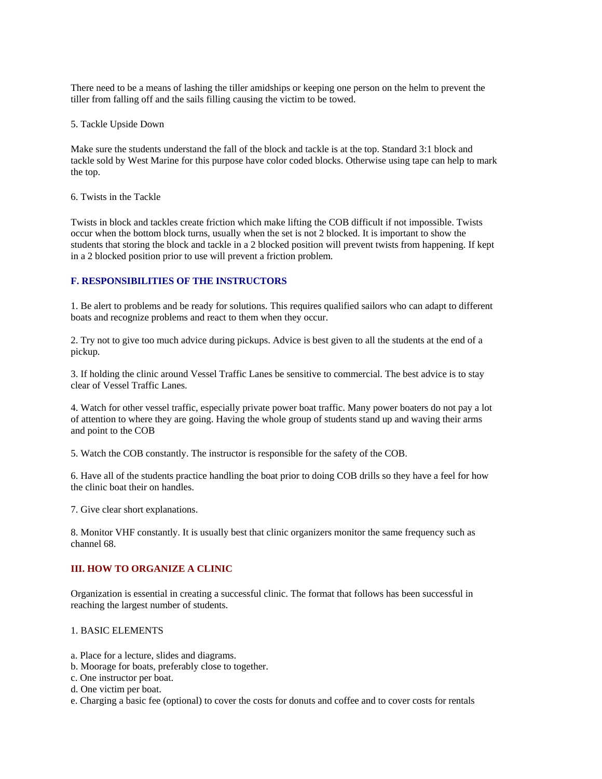There need to be a means of lashing the tiller amidships or keeping one person on the helm to prevent the tiller from falling off and the sails filling causing the victim to be towed.

5. Tackle Upside Down

Make sure the students understand the fall of the block and tackle is at the top. Standard 3:1 block and tackle sold by West Marine for this purpose have color coded blocks. Otherwise using tape can help to mark the top.

6. Twists in the Tackle

Twists in block and tackles create friction which make lifting the COB difficult if not impossible. Twists occur when the bottom block turns, usually when the set is not 2 blocked. It is important to show the students that storing the block and tackle in a 2 blocked position will prevent twists from happening. If kept in a 2 blocked position prior to use will prevent a friction problem.

## **F. RESPONSIBILITIES OF THE INSTRUCTORS**

1. Be alert to problems and be ready for solutions. This requires qualified sailors who can adapt to different boats and recognize problems and react to them when they occur.

2. Try not to give too much advice during pickups. Advice is best given to all the students at the end of a pickup.

3. If holding the clinic around Vessel Traffic Lanes be sensitive to commercial. The best advice is to stay clear of Vessel Traffic Lanes.

4. Watch for other vessel traffic, especially private power boat traffic. Many power boaters do not pay a lot of attention to where they are going. Having the whole group of students stand up and waving their arms and point to the COB

5. Watch the COB constantly. The instructor is responsible for the safety of the COB.

6. Have all of the students practice handling the boat prior to doing COB drills so they have a feel for how the clinic boat their on handles.

7. Give clear short explanations.

8. Monitor VHF constantly. It is usually best that clinic organizers monitor the same frequency such as channel 68.

#### **III. HOW TO ORGANIZE A CLINIC**

Organization is essential in creating a successful clinic. The format that follows has been successful in reaching the largest number of students.

#### 1. BASIC ELEMENTS

- a. Place for a lecture, slides and diagrams.
- b. Moorage for boats, preferably close to together.
- c. One instructor per boat.
- d. One victim per boat.
- e. Charging a basic fee (optional) to cover the costs for donuts and coffee and to cover costs for rentals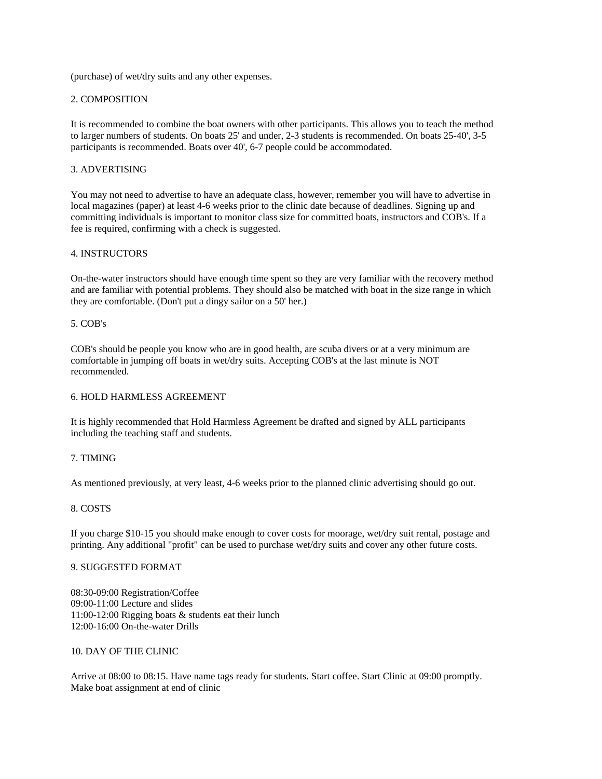(purchase) of wet/dry suits and any other expenses.

## 2. COMPOSITION

It is recommended to combine the boat owners with other participants. This allows you to teach the method to larger numbers of students. On boats 25' and under, 2-3 students is recommended. On boats 25-40', 3-5 participants is recommended. Boats over 40', 6-7 people could be accommodated.

## 3. ADVERTISING

You may not need to advertise to have an adequate class, however, remember you will have to advertise in local magazines (paper) at least 4-6 weeks prior to the clinic date because of deadlines. Signing up and committing individuals is important to monitor class size for committed boats, instructors and COB's. If a fee is required, confirming with a check is suggested.

## 4. INSTRUCTORS

On-the-water instructors should have enough time spent so they are very familiar with the recovery method and are familiar with potential problems. They should also be matched with boat in the size range in which they are comfortable. (Don't put a dingy sailor on a 50' her.)

## 5. COB's

COB's should be people you know who are in good health, are scuba divers or at a very minimum are comfortable in jumping off boats in wet/dry suits. Accepting COB's at the last minute is NOT recommended.

#### 6. HOLD HARMLESS AGREEMENT

It is highly recommended that Hold Harmless Agreement be drafted and signed by ALL participants including the teaching staff and students.

## 7. TIMING

As mentioned previously, at very least, 4-6 weeks prior to the planned clinic advertising should go out.

## 8. COSTS

If you charge \$10-15 you should make enough to cover costs for moorage, wet/dry suit rental, postage and printing. Any additional "profit" can be used to purchase wet/dry suits and cover any other future costs.

#### 9. SUGGESTED FORMAT

08:30-09:00 Registration/Coffee 09:00-11:00 Lecture and slides 11:00-12:00 Rigging boats & students eat their lunch 12:00-16:00 On-the-water Drills

#### 10. DAY OF THE CLINIC

Arrive at 08:00 to 08:15. Have name tags ready for students. Start coffee. Start Clinic at 09:00 promptly. Make boat assignment at end of clinic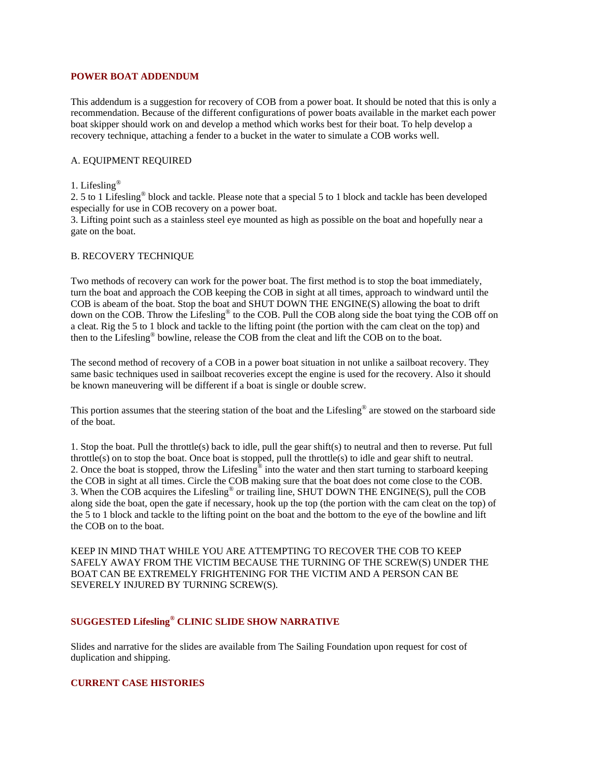## **POWER BOAT ADDENDUM**

This addendum is a suggestion for recovery of COB from a power boat. It should be noted that this is only a recommendation. Because of the different configurations of power boats available in the market each power boat skipper should work on and develop a method which works best for their boat. To help develop a recovery technique, attaching a fender to a bucket in the water to simulate a COB works well.

#### A. EQUIPMENT REQUIRED

#### 1. Lifesling®

2. 5 to 1 Lifesling® block and tackle. Please note that a special 5 to 1 block and tackle has been developed especially for use in COB recovery on a power boat.

3. Lifting point such as a stainless steel eye mounted as high as possible on the boat and hopefully near a gate on the boat.

#### B. RECOVERY TECHNIQUE

Two methods of recovery can work for the power boat. The first method is to stop the boat immediately, turn the boat and approach the COB keeping the COB in sight at all times, approach to windward until the COB is abeam of the boat. Stop the boat and SHUT DOWN THE ENGINE(S) allowing the boat to drift down on the COB. Throw the Lifesling<sup>®</sup> to the COB. Pull the COB along side the boat tying the COB off on a cleat. Rig the 5 to 1 block and tackle to the lifting point (the portion with the cam cleat on the top) and then to the Lifesling® bowline, release the COB from the cleat and lift the COB on to the boat.

The second method of recovery of a COB in a power boat situation in not unlike a sailboat recovery. They same basic techniques used in sailboat recoveries except the engine is used for the recovery. Also it should be known maneuvering will be different if a boat is single or double screw.

This portion assumes that the steering station of the boat and the Lifesling® are stowed on the starboard side of the boat.

1. Stop the boat. Pull the throttle(s) back to idle, pull the gear shift(s) to neutral and then to reverse. Put full throttle(s) on to stop the boat. Once boat is stopped, pull the throttle(s) to idle and gear shift to neutral. 2. Once the boat is stopped, throw the Lifesling<sup>®</sup> into the water and then start turning to starboard keeping the COB in sight at all times. Circle the COB making sure that the boat does not come close to the COB. 3. When the COB acquires the Lifesling® or trailing line, SHUT DOWN THE ENGINE(S), pull the COB along side the boat, open the gate if necessary, hook up the top (the portion with the cam cleat on the top) of the 5 to 1 block and tackle to the lifting point on the boat and the bottom to the eye of the bowline and lift the COB on to the boat.

KEEP IN MIND THAT WHILE YOU ARE ATTEMPTING TO RECOVER THE COB TO KEEP SAFELY AWAY FROM THE VICTIM BECAUSE THE TURNING OF THE SCREW(S) UNDER THE BOAT CAN BE EXTREMELY FRIGHTENING FOR THE VICTIM AND A PERSON CAN BE SEVERELY INJURED BY TURNING SCREW(S).

## **SUGGESTED Lifesling® CLINIC SLIDE SHOW NARRATIVE**

Slides and narrative for the slides are available from The Sailing Foundation upon request for cost of duplication and shipping.

#### **CURRENT CASE HISTORIES**